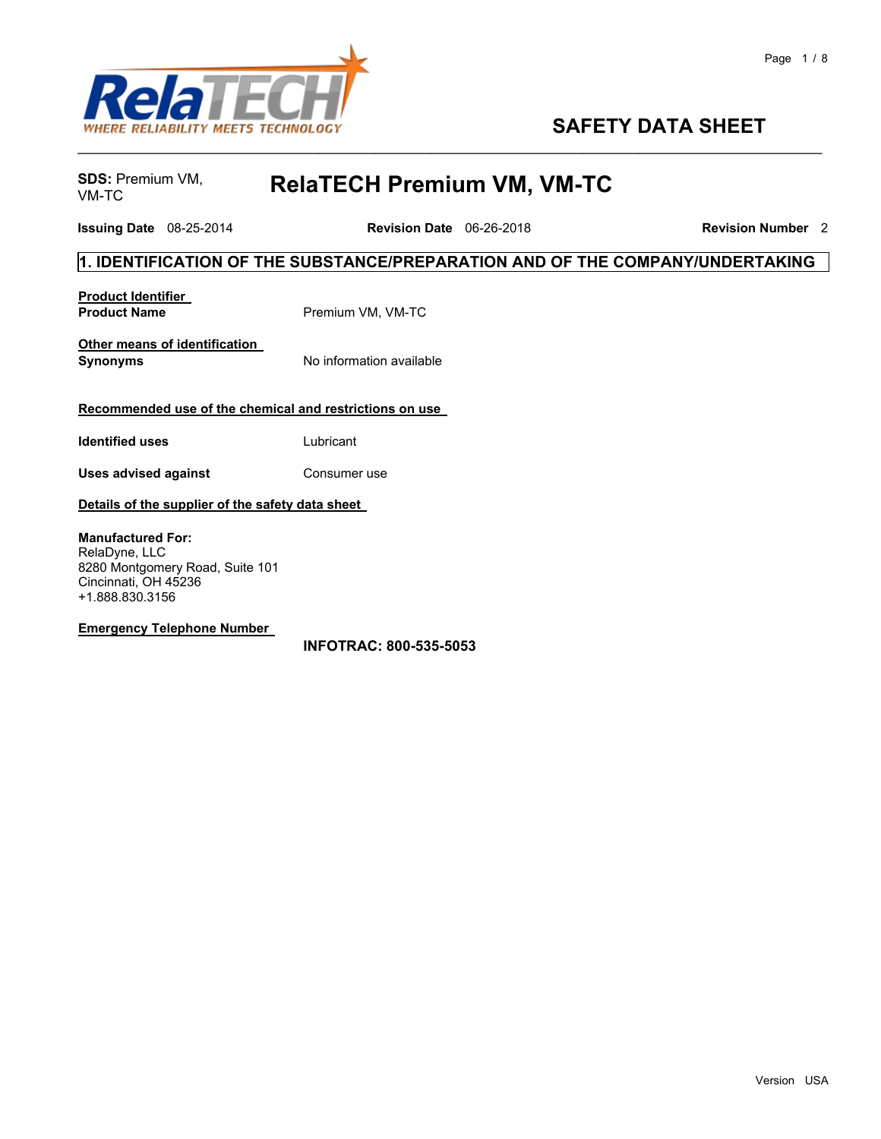

## **SAFETY DATA SHEET**

**SDS: Premium VM, VM-TC** 

VM-TC **RelaTECH Premium VM, VM-TC**

**Issuing Date** 08-25-2014 **Revision Date** 06-26-2018 **Revision Number** 2

#### **1. IDENTIFICATION OF THE SUBSTANCE/PREPARATION AND OF THE COMPANY/UNDERTAKING**

\_\_\_\_\_\_\_\_\_\_\_\_\_\_\_\_\_\_\_\_\_\_\_\_\_\_\_\_\_\_\_\_\_\_\_\_\_\_\_\_\_\_\_\_\_\_\_\_\_\_\_\_\_\_\_\_\_\_\_\_\_\_\_\_\_\_\_\_\_\_\_\_\_\_\_\_\_\_\_\_\_\_\_\_\_\_\_\_\_\_\_\_\_

| <b>Product Identifier</b> |                   |
|---------------------------|-------------------|
| <b>Product Name</b>       | Premium VM, VM-TC |

**Other means of identification Synonyms** No information available

#### **Recommended use of the chemical and restrictions on use**

**Identified uses** Lubricant

**Uses advised against <b>Consumeral** Consumer use

#### **Details of the supplier of the safety data sheet**

**Manufactured For:** RelaDyne, LLC 8280 Montgomery Road, Suite 101 Cincinnati, OH 45236 +1.888.830.3156

#### **Emergency Telephone Number**

**INFOTRAC: 800-535-5053**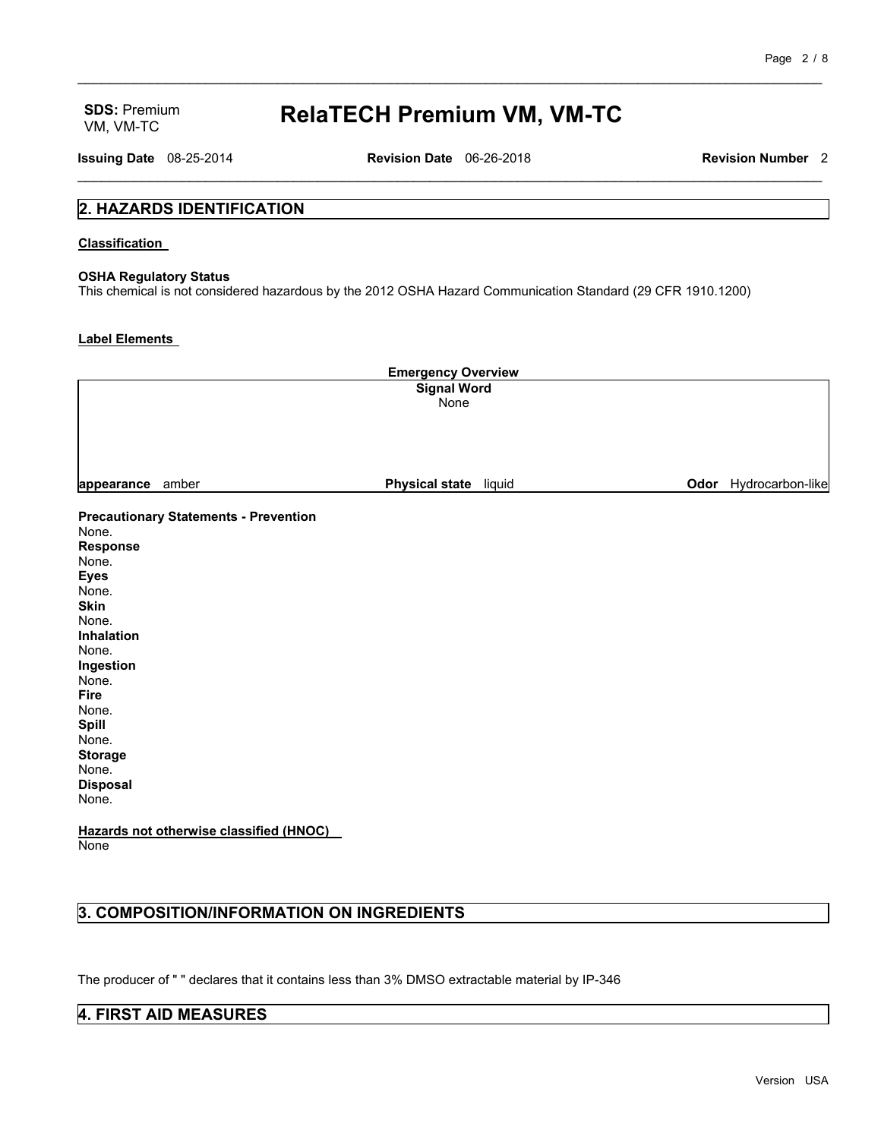# VM, VM-TC **RelaTECH Premium VM, VM-TC**

\_\_\_\_\_\_\_\_\_\_\_\_\_\_\_\_\_\_\_\_\_\_\_\_\_\_\_\_\_\_\_\_\_\_\_\_\_\_\_\_\_\_\_\_\_\_\_\_\_\_\_\_\_\_\_\_\_\_\_\_\_\_\_\_\_\_\_\_\_\_\_\_\_\_\_\_\_\_\_\_\_\_\_\_\_\_\_\_\_\_\_\_\_

**Issuing Date** 08-25-2014 **Revision Date** 06-26-2018 **Revision Number** 2 \_\_\_\_\_\_\_\_\_\_\_\_\_\_\_\_\_\_\_\_\_\_\_\_\_\_\_\_\_\_\_\_\_\_\_\_\_\_\_\_\_\_\_\_\_\_\_\_\_\_\_\_\_\_\_\_\_\_\_\_\_\_\_\_\_\_\_\_\_\_\_\_\_\_\_\_\_\_\_\_\_\_\_\_\_\_\_\_\_\_\_\_\_

#### **2. HAZARDS IDENTIFICATION**

#### **Classification**

#### **OSHA Regulatory Status**

This chemical is not considered hazardous by the 2012 OSHA Hazard Communication Standard (29 CFR 1910.1200)

#### **Label Elements**

| <b>Emergency Overview</b><br><b>Signal Word</b><br>None |                                              |                       |                       |
|---------------------------------------------------------|----------------------------------------------|-----------------------|-----------------------|
| appearance                                              | amber                                        | Physical state liquid | Odor Hydrocarbon-like |
|                                                         | <b>Precautionary Statements - Prevention</b> |                       |                       |
| None.                                                   |                                              |                       |                       |
| <b>Response</b>                                         |                                              |                       |                       |
| None.                                                   |                                              |                       |                       |
| <b>Eyes</b><br>None.                                    |                                              |                       |                       |
| <b>Skin</b>                                             |                                              |                       |                       |
| None.                                                   |                                              |                       |                       |
| Inhalation                                              |                                              |                       |                       |
| None.                                                   |                                              |                       |                       |
| Ingestion                                               |                                              |                       |                       |
| None.                                                   |                                              |                       |                       |
| <b>Fire</b>                                             |                                              |                       |                       |
| None.                                                   |                                              |                       |                       |
| Spill                                                   |                                              |                       |                       |
| None.                                                   |                                              |                       |                       |
| <b>Storage</b>                                          |                                              |                       |                       |
| None.                                                   |                                              |                       |                       |
| <b>Disposal</b><br>None.                                |                                              |                       |                       |
|                                                         | Hazards not otherwise classified (HNOC)      |                       |                       |

**None** 

### **3. COMPOSITION/INFORMATION ON INGREDIENTS**

The producer of " " declares that it contains less than 3% DMSO extractable material by IP-346

#### **4. FIRST AID MEASURES**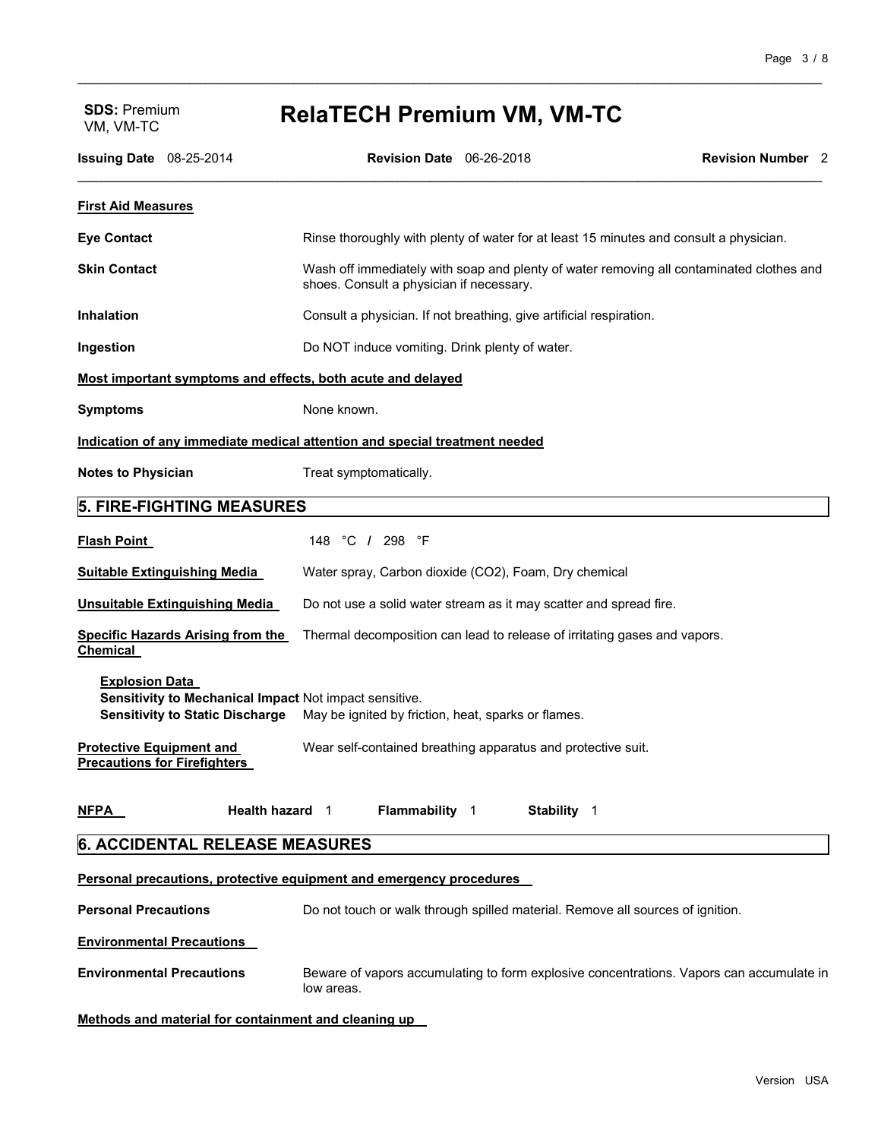# VM, VM-TC **RelaTECH Premium VM, VM-TC**

\_\_\_\_\_\_\_\_\_\_\_\_\_\_\_\_\_\_\_\_\_\_\_\_\_\_\_\_\_\_\_\_\_\_\_\_\_\_\_\_\_\_\_\_\_\_\_\_\_\_\_\_\_\_\_\_\_\_\_\_\_\_\_\_\_\_\_\_\_\_\_\_\_\_\_\_\_\_\_\_\_\_\_\_\_\_\_\_\_\_\_\_\_

| <b>Issuing Date</b> 08-25-2014                                                                                            | Revision Date 06-26-2018                              |                                                                                          | <b>Revision Number</b> 2 |
|---------------------------------------------------------------------------------------------------------------------------|-------------------------------------------------------|------------------------------------------------------------------------------------------|--------------------------|
| <b>First Aid Measures</b>                                                                                                 |                                                       |                                                                                          |                          |
| <b>Eye Contact</b>                                                                                                        |                                                       | Rinse thoroughly with plenty of water for at least 15 minutes and consult a physician.   |                          |
| <b>Skin Contact</b>                                                                                                       | shoes. Consult a physician if necessary.              | Wash off immediately with soap and plenty of water removing all contaminated clothes and |                          |
| <b>Inhalation</b>                                                                                                         |                                                       | Consult a physician. If not breathing, give artificial respiration.                      |                          |
| Ingestion                                                                                                                 | Do NOT induce vomiting. Drink plenty of water.        |                                                                                          |                          |
| Most important symptoms and effects, both acute and delayed                                                               |                                                       |                                                                                          |                          |
| <b>Symptoms</b>                                                                                                           | None known.                                           |                                                                                          |                          |
| Indication of any immediate medical attention and special treatment needed                                                |                                                       |                                                                                          |                          |
| <b>Notes to Physician</b>                                                                                                 | Treat symptomatically.                                |                                                                                          |                          |
| <b>5. FIRE-FIGHTING MEASURES</b>                                                                                          |                                                       |                                                                                          |                          |
| <b>Flash Point</b>                                                                                                        | 148 °C / 298 °F                                       |                                                                                          |                          |
| <b>Suitable Extinguishing Media</b>                                                                                       | Water spray, Carbon dioxide (CO2), Foam, Dry chemical |                                                                                          |                          |
| Unsuitable Extinguishing Media                                                                                            |                                                       | Do not use a solid water stream as it may scatter and spread fire.                       |                          |
| <b>Specific Hazards Arising from the</b><br>Chemical                                                                      |                                                       | Thermal decomposition can lead to release of irritating gases and vapors.                |                          |
| <b>Explosion Data</b><br>Sensitivity to Mechanical Impact Not impact sensitive.<br><b>Sensitivity to Static Discharge</b> | May be ignited by friction, heat, sparks or flames.   |                                                                                          |                          |
| <b>Protective Equipment and</b><br><b>Precautions for Firefighters</b>                                                    |                                                       | Wear self-contained breathing apparatus and protective suit.                             |                          |
| <u>NFPA</u><br>Health hazard 1                                                                                            | Flammability 1                                        | Stability 1                                                                              |                          |
| <b>6. ACCIDENTAL RELEASE MEASURES</b>                                                                                     |                                                       |                                                                                          |                          |
| Personal precautions, protective equipment and emergency procedures                                                       |                                                       |                                                                                          |                          |
| <b>Personal Precautions</b>                                                                                               |                                                       | Do not touch or walk through spilled material. Remove all sources of ignition.           |                          |
| <b>Environmental Precautions</b>                                                                                          |                                                       |                                                                                          |                          |
| <b>Environmental Precautions</b>                                                                                          | low areas.                                            | Beware of vapors accumulating to form explosive concentrations. Vapors can accumulate in |                          |
| Methods and material for containment and cleaning up                                                                      |                                                       |                                                                                          |                          |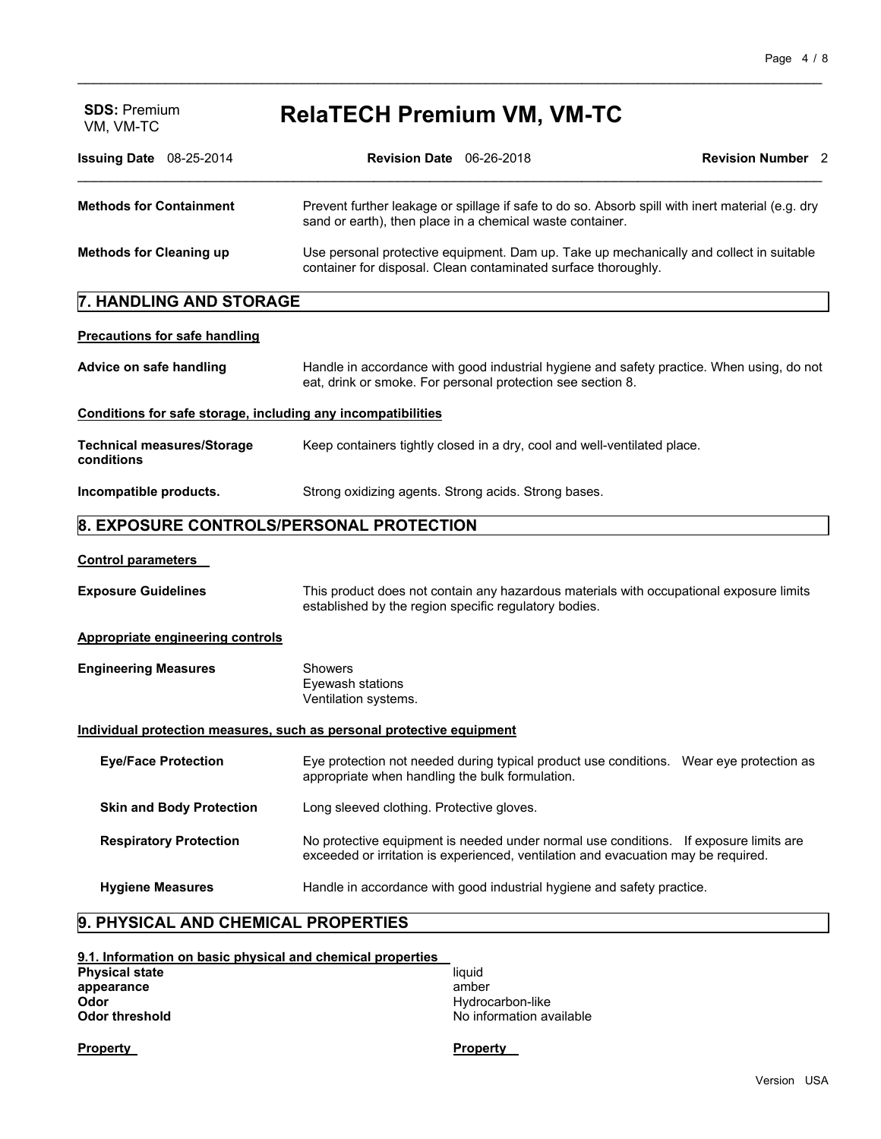| <b>SDS: Premium</b><br>VM, VM-TC                             | <b>RelaTECH Premium VM, VM-TC</b>                                                                                                                                                                         |                          |  |
|--------------------------------------------------------------|-----------------------------------------------------------------------------------------------------------------------------------------------------------------------------------------------------------|--------------------------|--|
| Issuing Date 08-25-2014                                      | <b>Revision Date</b> 06-26-2018                                                                                                                                                                           | <b>Revision Number</b> 2 |  |
| <b>Methods for Containment</b>                               | Prevent further leakage or spillage if safe to do so. Absorb spill with inert material (e.g. dry<br>sand or earth), then place in a chemical waste container.                                             |                          |  |
| <b>Methods for Cleaning up</b>                               | Use personal protective equipment. Dam up. Take up mechanically and collect in suitable<br>container for disposal. Clean contaminated surface thoroughly.                                                 |                          |  |
| 7. HANDLING AND STORAGE                                      |                                                                                                                                                                                                           |                          |  |
| <b>Precautions for safe handling</b>                         |                                                                                                                                                                                                           |                          |  |
| Advice on safe handling                                      | Handle in accordance with good industrial hygiene and safety practice. When using, do not<br>eat, drink or smoke. For personal protection see section 8.                                                  |                          |  |
| Conditions for safe storage, including any incompatibilities |                                                                                                                                                                                                           |                          |  |
| <b>Technical measures/Storage</b><br>conditions              | Keep containers tightly closed in a dry, cool and well-ventilated place.                                                                                                                                  |                          |  |
| Incompatible products.                                       | Strong oxidizing agents. Strong acids. Strong bases.                                                                                                                                                      |                          |  |
|                                                              | 8. EXPOSURE CONTROLS/PERSONAL PROTECTION                                                                                                                                                                  |                          |  |
| <b>Control parameters</b>                                    |                                                                                                                                                                                                           |                          |  |
| <b>Exposure Guidelines</b>                                   | This product does not contain any hazardous materials with occupational exposure limits<br>established by the region specific regulatory bodies.                                                          |                          |  |
| <b>Appropriate engineering controls</b>                      |                                                                                                                                                                                                           |                          |  |
| <b>Engineering Measures</b>                                  | Showers<br>Eyewash stations<br>Ventilation systems.                                                                                                                                                       |                          |  |
|                                                              | Individual protection measures, such as personal protective equipment                                                                                                                                     |                          |  |
| <b>Eye/Face Protection</b>                                   | Eye protection not needed during typical product use conditions. Wear eye protection as<br>antico de la casa de la casa del final de la facta de la casa de la casa de la facta de la facta de la facta d |                          |  |

\_\_\_\_\_\_\_\_\_\_\_\_\_\_\_\_\_\_\_\_\_\_\_\_\_\_\_\_\_\_\_\_\_\_\_\_\_\_\_\_\_\_\_\_\_\_\_\_\_\_\_\_\_\_\_\_\_\_\_\_\_\_\_\_\_\_\_\_\_\_\_\_\_\_\_\_\_\_\_\_\_\_\_\_\_\_\_\_\_\_\_\_\_

|                                 | appropriate when handling the bulk formulation.                                                                                                                             |
|---------------------------------|-----------------------------------------------------------------------------------------------------------------------------------------------------------------------------|
| <b>Skin and Body Protection</b> | Long sleeved clothing. Protective gloves.                                                                                                                                   |
| <b>Respiratory Protection</b>   | No protective equipment is needed under normal use conditions. If exposure limits are<br>exceeded or irritation is experienced, ventilation and evacuation may be required. |
| <b>Hygiene Measures</b>         | Handle in accordance with good industrial hygiene and safety practice.                                                                                                      |

### **9. PHYSICAL AND CHEMICAL PROPERTIES**

| 9.1. Information on basic physical and chemical properties |                          |
|------------------------------------------------------------|--------------------------|
| <b>Physical state</b>                                      | liauid                   |
| appearance                                                 | amber                    |
| Odor                                                       | Hydrocarbon-like         |
| <b>Odor threshold</b>                                      | No information available |

**Property Property**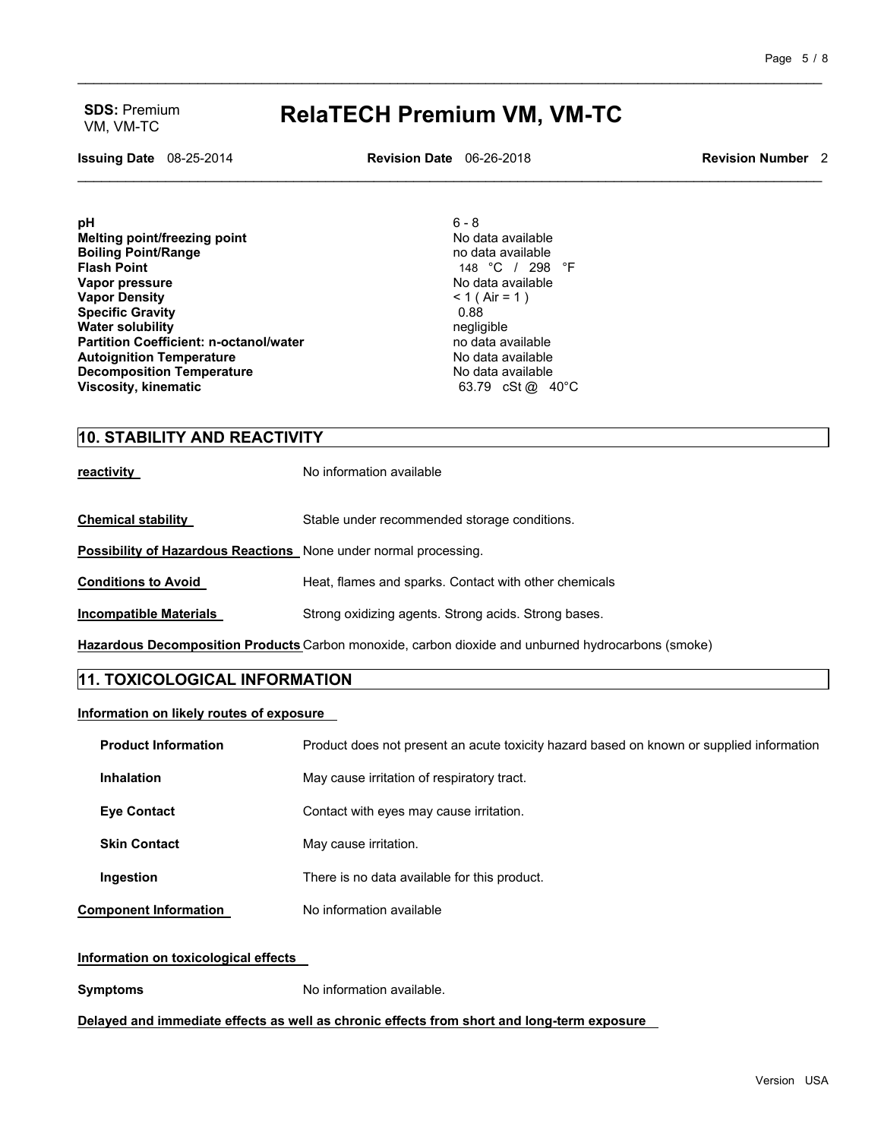## VM, VM-TC **RelaTECH Premium VM, VM-TC**

\_\_\_\_\_\_\_\_\_\_\_\_\_\_\_\_\_\_\_\_\_\_\_\_\_\_\_\_\_\_\_\_\_\_\_\_\_\_\_\_\_\_\_\_\_\_\_\_\_\_\_\_\_\_\_\_\_\_\_\_\_\_\_\_\_\_\_\_\_\_\_\_\_\_\_\_\_\_\_\_\_\_\_\_\_\_\_\_\_\_\_\_\_

**Issuing Date** 08-25-2014 **Revision Date** 06-26-2018 **Revision Number** 2 \_\_\_\_\_\_\_\_\_\_\_\_\_\_\_\_\_\_\_\_\_\_\_\_\_\_\_\_\_\_\_\_\_\_\_\_\_\_\_\_\_\_\_\_\_\_\_\_\_\_\_\_\_\_\_\_\_\_\_\_\_\_\_\_\_\_\_\_\_\_\_\_\_\_\_\_\_\_\_\_\_\_\_\_\_\_\_\_\_\_\_\_\_

**pH** 6 - 8 **Melting point/freezing point in the contract of the Contract Contract Ave in the Modata available Boiling Point/Range** no data available **Vapor pressure and available values of the UP** of Allen Modata available values of  $\leq 1$  (Alr = 1) **Vapor Density**  $\leq 1$  (  $\leq 1$  ) and  $\leq 1$  (  $\leq 1$  ) and  $\leq 1$  (  $\leq 1$  ) and  $\leq 1$  ) and  $\leq 1$  (  $\leq 1$  ) and  $\leq 1$  (  $\leq 1$  ) and  $\leq 1$  (  $\leq 1$  ) and  $\leq 1$  and  $\leq 1$  and  $\leq 1$  and  $\leq 1$  and **Specific Gravity** 0.88 **Water solubility 1.1 Contract 1.1 Contract 1.1 Contract 1.1 Contract 1.1 Contract 1.1 Contract 1.1 Contract 1.1 Contract 1.1 Contract 1.1 Contract 1.1 Contract 1.1 Contract 1.1 Contract 1.1 Contr Water solubility** negligible **Partition Coefficient: n-octanol/water no data available** no data available<br> **Autoignition Temperature no data available Autoignition Temperature** No data available **Decomposition Temperature and Communisty Communisty Communisty Communisty Communisty Communisty Communisty Comm**<br> **Niscosity, kinematic** Communisty Communisty Communisty Communisty Communisty Communisty Communisty Communi **Viscosity, kinematic** 

148 °C / 298 °F<br>No data available

#### **10. STABILITY AND REACTIVITY**

**reactivity reactivity No information available** 

**Chemical stability Stable under recommended storage conditions.** 

**Possibility of Hazardous Reactions** None under normal processing.

**Conditions to Avoid Heat, flames and sparks. Contact with other chemicals** 

**Incompatible Materials Strong oxidizing agents. Strong acids. Strong bases.** 

**Hazardous Decomposition Products** Carbon monoxide, carbon dioxide and unburned hydrocarbons (smoke)

#### **11. TOXICOLOGICAL INFORMATION**

#### **Information on likely routes of exposure**

| <b>Product Information</b>   | Product does not present an acute toxicity hazard based on known or supplied information |
|------------------------------|------------------------------------------------------------------------------------------|
| <b>Inhalation</b>            | May cause irritation of respiratory tract.                                               |
| <b>Eve Contact</b>           | Contact with eyes may cause irritation.                                                  |
| <b>Skin Contact</b>          | May cause irritation.                                                                    |
| Ingestion                    | There is no data available for this product.                                             |
| <b>Component Information</b> | No information available                                                                 |

#### **Information on toxicological effects**

**Symptoms** No information available.

**Delayed and immediate effects as well as chronic effects from short and long-term exposure**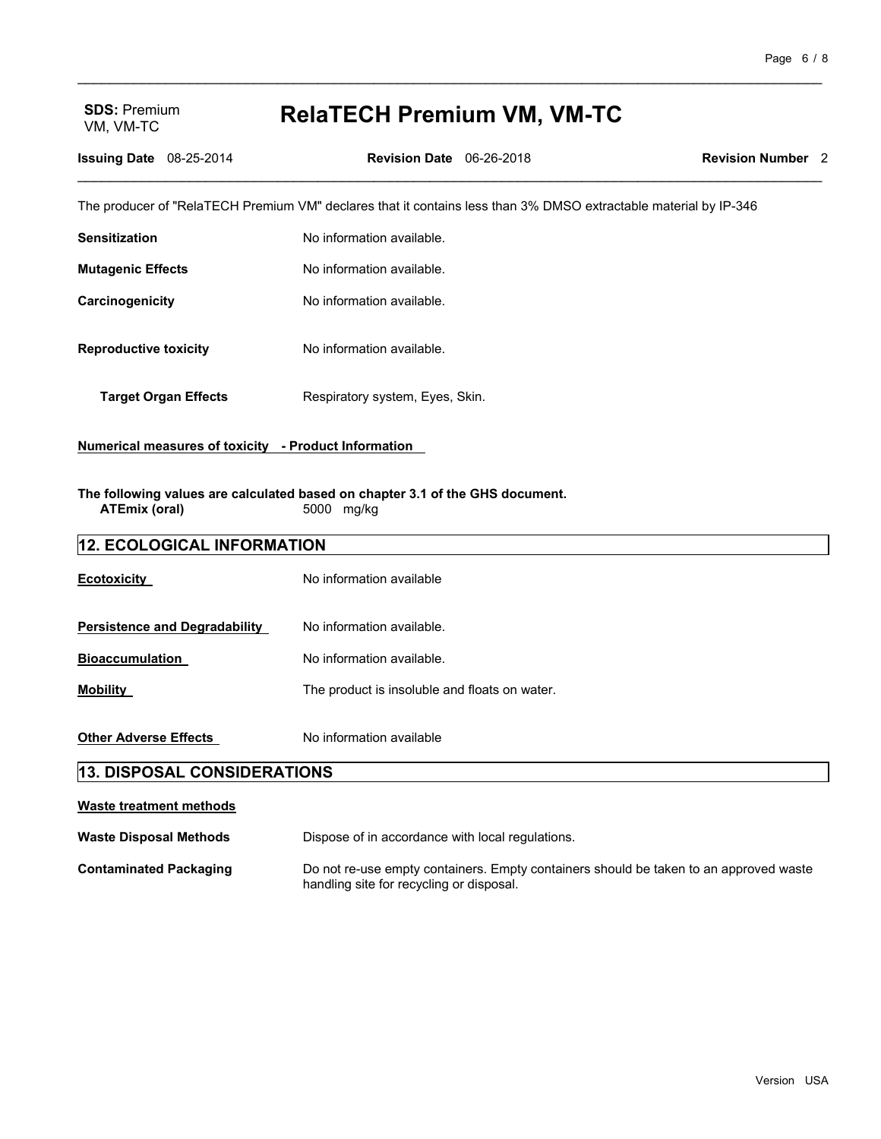# VM, VM-TC **RelaTECH Premium VM, VM-TC**

\_\_\_\_\_\_\_\_\_\_\_\_\_\_\_\_\_\_\_\_\_\_\_\_\_\_\_\_\_\_\_\_\_\_\_\_\_\_\_\_\_\_\_\_\_\_\_\_\_\_\_\_\_\_\_\_\_\_\_\_\_\_\_\_\_\_\_\_\_\_\_\_\_\_\_\_\_\_\_\_\_\_\_\_\_\_\_\_\_\_\_\_\_

| <b>Issuing Date</b> 08-25-2014                                                                                      |  | <b>Revision Date</b> 06-26-2018 |                                                                                                                  | <b>Revision Number 2</b> |
|---------------------------------------------------------------------------------------------------------------------|--|---------------------------------|------------------------------------------------------------------------------------------------------------------|--------------------------|
|                                                                                                                     |  |                                 | The producer of "RelaTECH Premium VM" declares that it contains less than 3% DMSO extractable material by IP-346 |                          |
| <b>Sensitization</b>                                                                                                |  | No information available.       |                                                                                                                  |                          |
| <b>Mutagenic Effects</b>                                                                                            |  | No information available.       |                                                                                                                  |                          |
| Carcinogenicity                                                                                                     |  | No information available.       |                                                                                                                  |                          |
| <b>Reproductive toxicity</b>                                                                                        |  | No information available.       |                                                                                                                  |                          |
| <b>Target Organ Effects</b>                                                                                         |  | Respiratory system, Eyes, Skin. |                                                                                                                  |                          |
| Numerical measures of toxicity - Product Information                                                                |  |                                 |                                                                                                                  |                          |
| The following values are calculated based on chapter 3.1 of the GHS document.<br><b>ATEmix (oral)</b><br>5000 mg/kg |  |                                 |                                                                                                                  |                          |
| 12. ECOLOGICAL INFORMATION                                                                                          |  |                                 |                                                                                                                  |                          |
| <b>Ecotoxicity</b>                                                                                                  |  | No information available        |                                                                                                                  |                          |
| <b>Persistence and Degradability</b>                                                                                |  | No information available.       |                                                                                                                  |                          |
| <b>Bioaccumulation</b>                                                                                              |  | No information available.       |                                                                                                                  |                          |

**Other Adverse Effects** No information available

**Mobility Mobility The product is insoluble and floats on water.** 

## **13. DISPOSAL CONSIDERATIONS**

| Waste treatment methods       |                                                                                                                                   |
|-------------------------------|-----------------------------------------------------------------------------------------------------------------------------------|
| <b>Waste Disposal Methods</b> | Dispose of in accordance with local regulations.                                                                                  |
| <b>Contaminated Packaging</b> | Do not re-use empty containers. Empty containers should be taken to an approved waste<br>handling site for recycling or disposal. |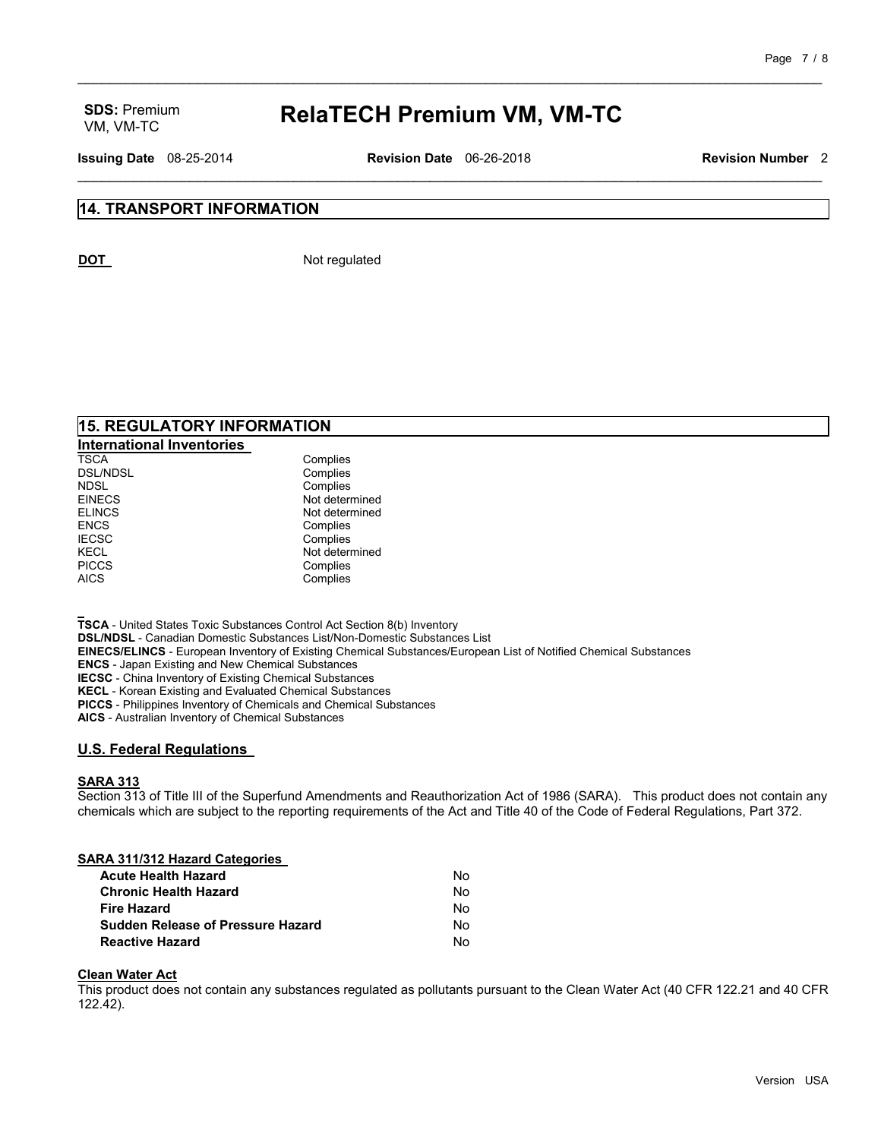## VM, VM-TC **RelaTECH Premium VM, VM-TC**

\_\_\_\_\_\_\_\_\_\_\_\_\_\_\_\_\_\_\_\_\_\_\_\_\_\_\_\_\_\_\_\_\_\_\_\_\_\_\_\_\_\_\_\_\_\_\_\_\_\_\_\_\_\_\_\_\_\_\_\_\_\_\_\_\_\_\_\_\_\_\_\_\_\_\_\_\_\_\_\_\_\_\_\_\_\_\_\_\_\_\_\_\_

**Issuing Date** 08-25-2014 **Revision Date** 06-26-2018 **Revision Number** 2 \_\_\_\_\_\_\_\_\_\_\_\_\_\_\_\_\_\_\_\_\_\_\_\_\_\_\_\_\_\_\_\_\_\_\_\_\_\_\_\_\_\_\_\_\_\_\_\_\_\_\_\_\_\_\_\_\_\_\_\_\_\_\_\_\_\_\_\_\_\_\_\_\_\_\_\_\_\_\_\_\_\_\_\_\_\_\_\_\_\_\_\_\_

#### **14. TRANSPORT INFORMATION**

**DOT** Not regulated

#### **15. REGULATORY INFORMATION**

| <b>International Inventories</b> |                |
|----------------------------------|----------------|
| <b>TSCA</b>                      | Complies       |
| <b>DSL/NDSL</b>                  | Complies       |
| <b>NDSL</b>                      | Complies       |
| <b>EINECS</b>                    | Not determined |
| <b>ELINCS</b>                    | Not determined |
| <b>ENCS</b>                      | Complies       |
| <b>IECSC</b>                     | Complies       |
| <b>KECL</b>                      | Not determined |
| <b>PICCS</b>                     | Complies       |
| <b>AICS</b>                      | Complies       |

**TSCA** - United States Toxic Substances Control Act Section 8(b) Inventory **DSL/NDSL** - Canadian Domestic Substances List/Non-Domestic Substances List **EINECS/ELINCS** - European Inventory of Existing Chemical Substances/European List of Notified Chemical Substances **ENCS** - Japan Existing and New Chemical Substances **IECSC** - China Inventory of Existing Chemical Substances **KECL** - Korean Existing and Evaluated Chemical Substances **PICCS** - Philippines Inventory of Chemicals and Chemical Substances

**AICS** - Australian Inventory of Chemical Substances

#### **U.S. Federal Regulations**

#### **SARA 313**

Section 313 of Title III of the Superfund Amendments and Reauthorization Act of 1986 (SARA). This product does not contain any chemicals which are subject to the reporting requirements of the Act and Title 40 of the Code of Federal Regulations, Part 372.

#### **SARA 311/312 Hazard Categories**

| <b>Acute Health Hazard</b>               | No. |
|------------------------------------------|-----|
| <b>Chronic Health Hazard</b>             | No. |
| <b>Fire Hazard</b>                       | No. |
| <b>Sudden Release of Pressure Hazard</b> | No. |
| <b>Reactive Hazard</b>                   | No. |

#### **Clean Water Act**

This product does not contain any substances regulated as pollutants pursuant to the Clean Water Act (40 CFR 122.21 and 40 CFR 122.42).